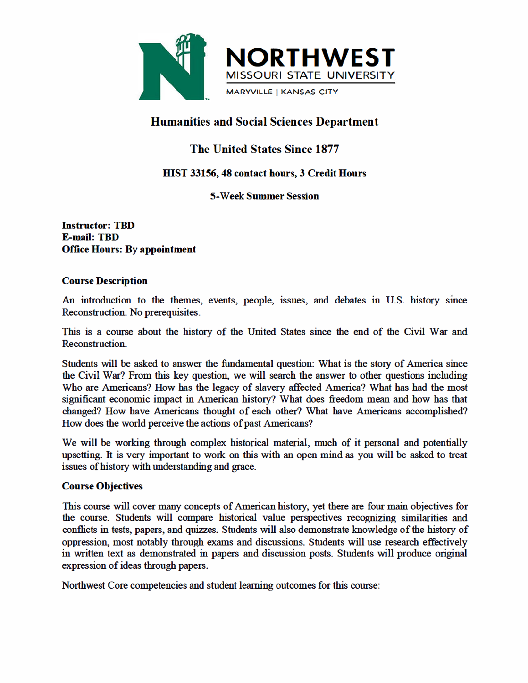

# **Humanities and Social Sciences Department**

# The United States Since 1877

# HIST 33156, 48 contact hours, 3 Credit Hours

# **5-Week Summer Session**

**Instructor: TBD E-mail: TBD Office Hours: By appointment** 

### **Course Description**

An introduction to the themes, events, people, issues, and debates in U.S. history since Reconstruction. No prerequisites.

This is a course about the history of the United States since the end of the Civil War and **Reconstruction** 

Students will be asked to answer the fundamental question: What is the story of America since the Civil War? From this key question, we will search the answer to other questions including Who are Americans? How has the legacy of slavery affected America? What has had the most significant economic impact in American history? What does freedom mean and how has that changed? How have Americans thought of each other? What have Americans accomplished? How does the world perceive the actions of past Americans?

We will be working through complex historical material, much of it personal and potentially upsetting. It is very important to work on this with an open mind as you will be asked to treat issues of history with understanding and grace.

## **Course Objectives**

This course will cover many concepts of American history, yet there are four main objectives for the course. Students will compare historical value perspectives recognizing similarities and conflicts in tests, papers, and quizzes. Students will also demonstrate knowledge of the history of oppression, most notably through exams and discussions. Students will use research effectively in written text as demonstrated in papers and discussion posts. Students will produce original expression of ideas through papers.

Northwest Core competencies and student learning outcomes for this course: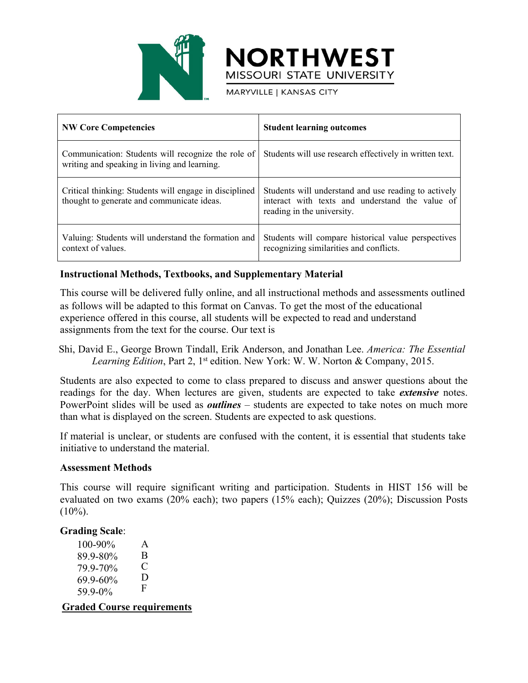

|                                                                                                      | <b>NORTHWEST</b><br>MISSOURI STATE UNIVERSITY<br>MARYVILLE   KANSAS CITY                                                              |
|------------------------------------------------------------------------------------------------------|---------------------------------------------------------------------------------------------------------------------------------------|
| <b>NW Core Competencies</b>                                                                          | <b>Student learning outcomes</b>                                                                                                      |
| Communication: Students will recognize the role of<br>writing and speaking in living and learning.   | Students will use research effectively in written text.                                                                               |
| Critical thinking: Students will engage in disciplined<br>thought to generate and communicate ideas. | Students will understand and use reading to actively<br>interact with texts and understand the value of<br>reading in the university. |
| Valuing: Students will understand the formation and<br>context of values.                            | Students will compare historical value perspectives<br>recognizing similarities and conflicts.                                        |
| <b>Instructional Methods, Textbooks, and Supplementary Material</b>                                  |                                                                                                                                       |
|                                                                                                      | This course will be delivered fully enline, and all instructional methods and essessments outlined                                    |

# **Instructional Methods, Textbooks, and Supplementary Material**

This course will be delivered fully online, and all instructional methods and assessments outlined as follows will be adapted to this format on Canvas. To get the most of the educational experience offered in this course, all students will be expected to read and understand assignments from the text for the course. Our text is

Shi, David E., George Brown Tindall, Erik Anderson, and Jonathan Lee. *America: The Essential* Learning *Edition*, Part 2, 1<sup>st</sup> edition. New York: W. W. Norton & Company, 2015.

Students are also expected to come to class prepared to discuss and answer questions about the readings for the day. When lectures are given, students are expected to take *extensive* notes. PowerPoint slides will be used as *outlines* – students are expected to take notes on much more than what is displayed on the screen. Students are expected to ask questions.

If material is unclear, or students are confused with the content, it is essential that students take initiative to understand the material.

## **Assessment Methods**

This course will require significant writing and participation. Students in HIST 156 will be evaluated on two exams (20% each); two papers (15% each); Quizzes (20%); Discussion Posts  $(10\%)$ . **Assessment Methods**<br>
This course will require significant writing and particular<br>
evaluated on two exams (20% each); two papers (15%<br>
10%).<br>
Grading Scale:<br>
100-90% A<br>
89.9-80% B<br>
79.9-70% C<br>
69.9-60% D<br>
59.9-0% F<br>
Graded

## **Grading Scale**:

| $100 - 90\%$           | A |  |
|------------------------|---|--|
| 89.9-80%               | B |  |
| 79.9-70%               | € |  |
| 69.9-60%               | D |  |
| 59.9-0%                | F |  |
| Fraded Course requirem |   |  |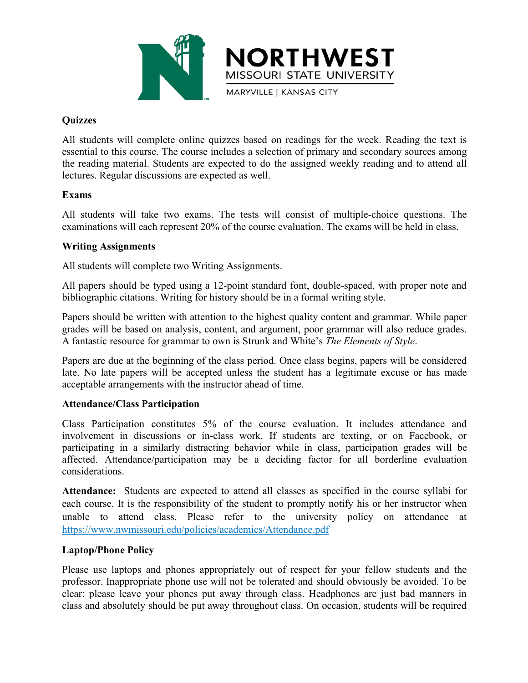

# **Quizzes**

MISSOURI STATE UNIVERSITY<br>
MISSOURI STATE UNIVERSITY<br>
MARYVILLE | KANSAS CITY<br>
ALL students will complete online quizzes based on readings for the week. Reading the text is<br>
essential to this course. The course includes a **Examinations will example the course of the course of the veck. Reading the text is exampled as light and this course. The course includes a selection of primary and sceondary sources among essential to this course. The** WE MARYVII<br> **Quizzes**<br>
All students will complete online quizzes base<br>
essential to this course. The course includes a s<br>
the reading material. Students are expected to<br>
lectures. Regular discussions are expected as we<br> **E** Quizzes<br>
All students will complete online quizzes based on readings for the week.<br>
essential to this course. The course includes a selection of primary and second<br>
the reading material. Students are expected to do the ass All students will complete online quizzes based on readings for the week. Reading the text is essential to this course. The course includes a selection of primary and secondary sources among the reading material. Students Figure 2012 and the course includes a selection of primary and secondary sources among<br>the reading material. Students are expected to do the assigned weekly reading sources among<br>the reading material. Students are expected

## **Exams**

the reading material. Students are expected to do the assigned weekly reading and to attend all<br>lectures. Regular discussions are expected as well.<br>**Exams**<br>All students will take two exams. The tests will consist of multip Exams<br>
Exams<br>
All students will take two exams. The tests will consist of multiple-choice questions. The<br>
examinations will each represent 20% of the course evaluation. The exams will be held in class.<br> **Writing Assignment** 

**Exams**<br>All students will take two exams. The tests will consist of multiple-choice questions. The<br>examinations will each represent 20% of the course evaluation. The exams will be held in class.<br>Writing Assignments<br>All stu Examinations will each represent 20% of the course evaluation. The exams will be held in class.<br>
Writing Assignments<br>
All students will complete two Writing Assignments.<br>
All papers should be typed using a 12-point standa **Example and Solution** and Solution and Solution and Solution and Solution and Solution and Solutions All students will complete two Writing Assignments.<br>All papers should be typed using a 12-point standard font, double-s

All students will complete two Writing Assignments.<br>All students will complete two Writing Assignments.<br>All papers should be typed using a 12-point standard font,<br>bibliographic citations. Writing for history should be in a The papers should be typed using a 12-point standard font, double-spaced, with proper note and<br>bibliographic citations. Writing for history should be in a formal writing style.<br>Papers should be written with attention to th All papers should be typed using a 12-point standard font, double-spaced, with proper note and bibliographic citations. Writing for history should be in a formal writing style.<br>Papers should be written with attention to th bibliographic citations. Writing for history should be in a formal writing style.<br>
Papers should be written with attention to the highest quality content and grammar. While paper<br>
grades will be based on analysis, content, Papers should be written with attention to the highest quality content and grammar. While paper grades will be based on analysis, content, and argument, poor grammar will also reduce grades. A fantastic resource for gramma considerations. A fantastic resource for grammar to own is Strunk and White's *The Elements of Style*.<br>Papers are due at the beginning of the class period. Once class begins, papers will be considered late. No late papers will be accepted Papers are due at the beginning of the class period. Once class begins, papers will be considered late. No late papers will be accepted unless the student has a legitimate excuse or has made acceptable arrangements with th n apex a cut at at exigemmy of unceass perfore. Once class the student has a legitimate excuse or has made<br>acceptable arrangements with the instructor ahead of time.<br>Attendance/Class Participation<br>Class Participation const Attendance/Class Participation<br>Class Participation constitutes 5% of the course<br>involvement in discussions or in-class work. If st<br>participating in a similarly distracting behavior wh<br>affected. Attendance/participation may Class Participation constitutes 5% of the course evaluation. It includes attendance and<br>involvement in discussions or in-class work. If students are texting, or on Facebook, or<br>arffected. Attendance/participation may be a be the discussions or in-class work. If students are texting, or on Facebook, or participating in a similarly distracting behavior while in class, participation grades will be affected. Attendance/participation may be a de

https://www.nwmissouri.edu/policies/academics/Attendance.pdf metricipating in a similarly distracting behavior while in class, participation grades will be affected. Attendance/participation may be a deciding factor for all borderline evaluation considerations.<br>Attendance: Students particular the simulation may be a deciding factor for all borderline evaluation considerations.<br>Attendance: Students are expected to attend all classes as specified in the course syllabi for each course. It is the respons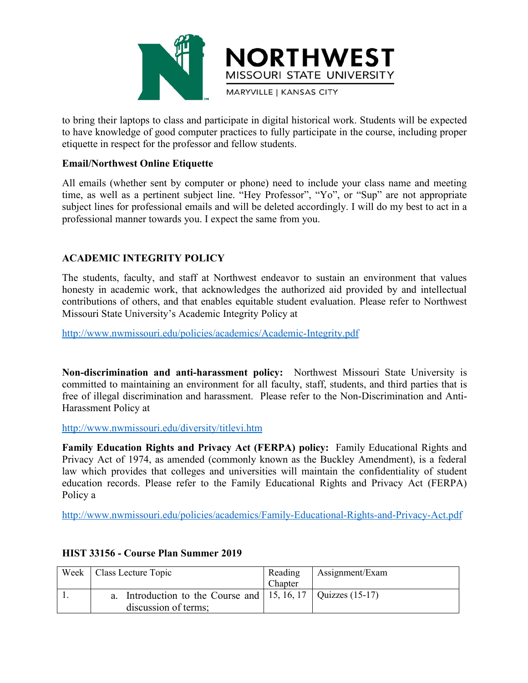

THE MEST<br>
MISSOURI STATE UNIVERSITY<br>
to bring their laptops to class and participate in digital historical work. Students will be expected<br>
tiquette in respect for the professor and fellow students.<br>
Email/Northwest Online MISSOURI STATE UNIVERSITY<br>to bring their laptops to class and participate in digital historical work. Students will be expected<br>to have knowledge of good computer practices to fully participate in the course, including pro Etime is a partiment whist line "Have Brackage", "Yo", at "Sum and the professor" where  $\frac{1}{2}$  are spect for the professor and fellow students.<br>
Email/Northwest Online Etiquette in respect for the professor and fellow s

**EMPLE TRANSA SCITE ON A SERVIDE STATE UNISSOURI STATE UNISSOURI STATE UNISSOURI STATE UNISSOURI STATE UNISSOURI STATE UNISSOURI STATE UNISSOURI STATE UNISSOURI STATE UNISSOURI STATE UNISSOURI STATE UNISSOURI STATE UNISSOU** MUNITEL WEST<br>
MISSOURI STATE UNIVERSITY<br>
MARYVILLE | KANSAS CITY<br>
to bring their laptops to class and participate in digital historical work. Students will be expected<br>
to have knowledge of good computer practices to fully MISSOURI STATE UNIVERSITY<br>to bring their laptops to class and participate in digital historical work. Students will be expected<br>to have knowledge of good computer practices to fully participate in the course, including pro MISSOURI STATE UNIVERSITY<br>
MISSOURI STATE UNIVERSITY<br>
to bring their laptops to class and participate in digital historical work. Students will be expected<br>
entiquette in respect for the professor and fellow students.<br>
Ema **EXECUTE STATE UNIVERSITY**<br>
MARYVILLE | KANSAS CITY<br>
to bring their laptops to class and participate in digital historical work. Students will be expecte<br>
to have knowledge of good computer practices to fully participate i to bring their laptops to class and participate in digital historical work. St<br>to have knowledge of good computer practices to fully participate in the etiquette in respect for the professor and fellow students.<br>**Email/Nor** The students, faculty, and staff at Northwest endeavor to sustain an environment that values whowledge of good computer practices to fully participate in the course, including proper ertiquette in respect for the professo etiquette in respect for the professor and fellow students.<br> **Email/Northwest Online Etiquette**<br>
All emails (whether sent by computer or phone) need to include your class name and meeting<br>
time, as well as a pertinent subj Email/Northwest Online Etiquette<br>
All emails (whether sent by computer or phone) need to include your class name and meeting<br>
time, as well as a pertinent subject line. "Hey Professor", "Yo", or "Sup" are not appropriate<br> Email/Northwest Online Etiquette<br>All emails (whether sent by computer or phone) need to include your class name and mee<br>time, as well as a pertinent subject line. "Hey Professor", "Yo", or "Sup" are not appropr<br>subject lin

http://www.nwmissouri.edu/policies/academics/Academic-Integrity.pdf

protessional manner towards you. I expect the same from you.<br> **ACADEMIC INTEGRITY POLICY**<br>
The students, faculty, and staff at Northwest endeavor to sustain an environment that values<br>
honesty in academic work, that acknow **ACADEMIC INTEGRITY POLICY**<br>The students, faculty, and staff at Northwest endeavor to sustain an environment that values<br>honesty in academic work, that acknowledges the authorized aid provided by and intellectual<br>contribut **ACADEMIC INTEGRITY POLICY**<br>The students, faculty, and staff at Northwest endeavor to sustain an environment that values<br>honesty in academic work, that acknowledges the authorized aid provided by and intellectual<br>contribut ACADEMIC INTEGRITY POLICY<br>The students, faculty, and staff at Northwest endeavor<br>honesty in academic work, that acknowledges the autho<br>contributions of others, and that enables equitable studen<br>Missouri State University's

http://www.nwmissouri.edu/diversity/titlevi.htm

**Family Education Rights and Privacy** and anti-Rights and Privacy and Britannian Contributions of others, and that enables equitable student evaluation. Please refer to Northwest Missouri State University's Academic Integr Missouri State University's Academic Integrity Policy at<br>
Missouri State University's Academic Integrity Policy at<br> **Non-discrimination and anti-harassment policy**: Northwest Missouri State University is<br> **Non-discriminati http://www.nwmissouri.edu/policies/academics/Academic-Integrity.pdf**<br> **Non-discrimination and anti-harassment policy:** Northwest Missouri State University is<br>
committed to maintaining an environment for all faculty, staff http://www.nwmissouri.edu/policies/academics/Academic-Integrity.pdf<br> **Non-discrimination and anti-harassment policy:** Northwest Missouri State University is<br>
committed to maintaining an environment for all faculty, staff, Non-discrimination and anti-harassment<br>committed to maintaining an environment for<br>free of illegal discrimination and harassment<br>Harassment Policy at<br>http://www.nwmissouri.edu/diversity/titlevi.h<br>Family Education Rights an Harassment Policy at<br>
Harassment Policy at<br>
Harassment Policy at<br>
http://www.nwmissouri.edu/diversity/titlevi.htm<br> **Family Education Rights and Privacy Act (FERPA) policy:** Family Edu<br>
Privacy Act of 1974, as amended (comm Family Education Rights and Privacy Act (FERPA) policy: Family Educe<br>
Privacy Act of 1974, as amended (commonly known as the Buckley Amendia<br>
law which provides that colleges and universities will maintain the confide<br>
ed Family Education Rights and Privacy Act (FERPA) policy: Family Education<br>
Privacy Act of 1974, as amended (commonly known as the Buckley Amendmen<br>
law which provides that colleges and universities will maintain the confid nown as the Buckley Amendment), is a federal<br>
es will maintain the confidentiality of student<br>
Educational Rights and Privacy Act (FERPA)<br>
Amily-Educational-Rights-and-Privacy-Act.pdf<br>
Reading Assignment/Exam<br>
Chapter<br>
15,

| Policy a | Privacy Act of 1974, as amended (commonly known as the Buckley Amendment), is a federal<br>law which provides that colleges and universities will maintain the confidentiality of student<br>education records. Please refer to the Family Educational Rights and Privacy Act (FERPA) |                    |                   |  |
|----------|---------------------------------------------------------------------------------------------------------------------------------------------------------------------------------------------------------------------------------------------------------------------------------------|--------------------|-------------------|--|
|          | http://www.nwmissouri.edu/policies/academics/Family-Educational-Rights-and-Privacy-Act.pdf                                                                                                                                                                                            |                    |                   |  |
|          |                                                                                                                                                                                                                                                                                       |                    |                   |  |
|          | HIST 33156 - Course Plan Summer 2019                                                                                                                                                                                                                                                  |                    |                   |  |
| Week     | Class Lecture Topic                                                                                                                                                                                                                                                                   | Reading<br>Chapter | Assignment/Exam   |  |
| 1.       | Introduction to the Course and<br>a.<br>discussion of terms;                                                                                                                                                                                                                          | 15, 16, 17         | Quizzes $(15-17)$ |  |
|          |                                                                                                                                                                                                                                                                                       |                    |                   |  |
|          |                                                                                                                                                                                                                                                                                       |                    |                   |  |
|          |                                                                                                                                                                                                                                                                                       |                    |                   |  |